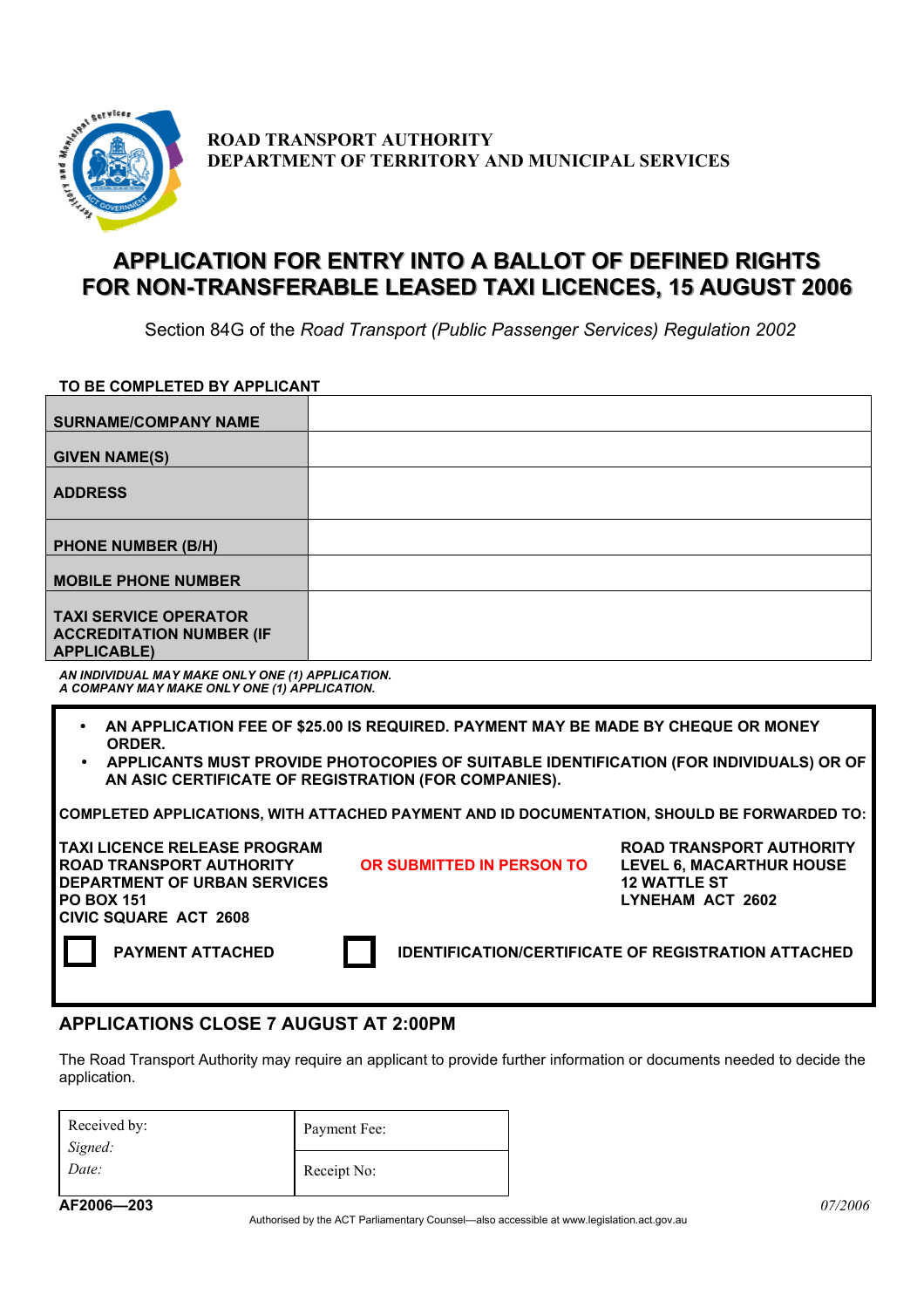

**ROAD TRANSPORT AUTHORITY DEPARTMENT OF TERRITORY AND MUNICIPAL SERVICES**

## **APPLICATION FOR ENTRY INTO A BALLOT OF DEFINED RIGHTS** FOR NON-TRANSFERABLE LEASED TAXI LICENCES, 15 AUGUST 2006

Section 84G of the *Road Transport (Public Passenger Services) Regulation 2002*

**TO BE COMPLETED BY APPLICANT** 

| <b>SURNAME/COMPANY NAME</b>                                                                                                                                                                                                                   |                                                            |                                                                                                               |  |
|-----------------------------------------------------------------------------------------------------------------------------------------------------------------------------------------------------------------------------------------------|------------------------------------------------------------|---------------------------------------------------------------------------------------------------------------|--|
| <b>GIVEN NAME(S)</b>                                                                                                                                                                                                                          |                                                            |                                                                                                               |  |
| <b>ADDRESS</b>                                                                                                                                                                                                                                |                                                            |                                                                                                               |  |
| <b>PHONE NUMBER (B/H)</b>                                                                                                                                                                                                                     |                                                            |                                                                                                               |  |
| <b>MOBILE PHONE NUMBER</b>                                                                                                                                                                                                                    |                                                            |                                                                                                               |  |
| <b>TAXI SERVICE OPERATOR</b><br><b>ACCREDITATION NUMBER (IF</b><br><b>APPLICABLE)</b>                                                                                                                                                         |                                                            |                                                                                                               |  |
| AN INDIVIDUAL MAY MAKE ONLY ONE (1) APPLICATION.<br>A COMPANY MAY MAKE ONLY ONE (1) APPLICATION.                                                                                                                                              |                                                            |                                                                                                               |  |
| AN APPLICATION FEE OF \$25.00 IS REQUIRED. PAYMENT MAY BE MADE BY CHEQUE OR MONEY<br>ORDER.<br>APPLICANTS MUST PROVIDE PHOTOCOPIES OF SUITABLE IDENTIFICATION (FOR INDIVIDUALS) OR OF<br>AN ASIC CERTIFICATE OF REGISTRATION (FOR COMPANIES). |                                                            |                                                                                                               |  |
| COMPLETED APPLICATIONS, WITH ATTACHED PAYMENT AND ID DOCUMENTATION, SHOULD BE FORWARDED TO:                                                                                                                                                   |                                                            |                                                                                                               |  |
| <b>TAXI LICENCE RELEASE PROGRAM</b><br><b>ROAD TRANSPORT AUTHORITY</b><br><b>DEPARTMENT OF URBAN SERVICES</b><br><b>PO BOX 151</b><br><b>CIVIC SQUARE ACT 2608</b>                                                                            | OR SUBMITTED IN PERSON TO                                  | <b>ROAD TRANSPORT AUTHORITY</b><br><b>LEVEL 6, MACARTHUR HOUSE</b><br><b>12 WATTLE ST</b><br>LYNEHAM ACT 2602 |  |
| <b>PAYMENT ATTACHED</b>                                                                                                                                                                                                                       | <b>IDENTIFICATION/CERTIFICATE OF REGISTRATION ATTACHED</b> |                                                                                                               |  |

#### **APPLICATIONS CLOSE 7 AUGUST AT 2:00PM**

The Road Transport Authority may require an applicant to provide further information or documents needed to decide the application.

| Received by:<br>Signed:<br>Date: | Payment Fee: |  |
|----------------------------------|--------------|--|
|                                  | Receipt No:  |  |